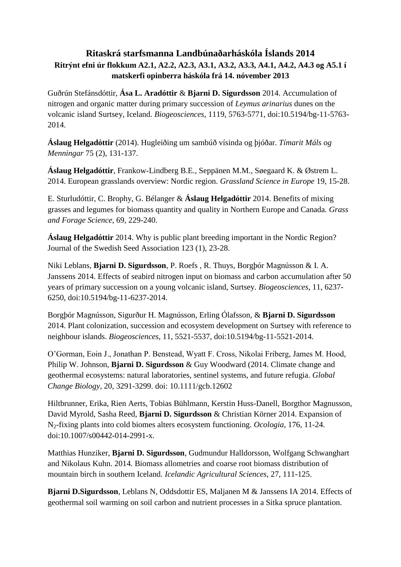## **Ritaskrá starfsmanna Landbúnaðarháskóla Íslands 2014 Ritrýnt efni úr flokkum A2.1, A2.2, A2.3, A3.1, A3.2, A3.3, A4.1, A4.2, A4.3 og A5.1 í matskerfi opinberra háskóla frá 14. nóvember 2013**

Guðrún Stefánsdóttir, **Ása L. Aradóttir** & **Bjarni D. Sigurdsson** 2014. Accumulation of nitrogen and organic matter during primary succession of *Leymus arinarius* dunes on the volcanic island Surtsey, Iceland. *Biogeosciences*, 1119, 5763-5771, doi:10.5194/bg-11-5763- 2014.

**Áslaug Helgadóttir** (2014). Hugleiðing um sambúð vísinda og þjóðar. *Tímarit Máls og Menningar* 75 (2), 131-137.

**Áslaug Helgadóttir**, Frankow-Lindberg B.E., Seppänen M.M., Søegaard K. & Østrem L. 2014. European grasslands overview: Nordic region. *Grassland Science in Europe* 19, 15-28.

E. Sturludóttir, C. Brophy, G. Bélanger & **Áslaug Helgadóttir** 2014. Benefits of mixing grasses and legumes for biomass quantity and quality in Northern Europe and Canada. *Grass and Forage Science*, 69, 229-240.

**Áslaug Helgadóttir** 2014. Why is public plant breeding important in the Nordic Region? Journal of the Swedish Seed Association 123 (1), 23-28.

Niki Leblans, **Bjarni D. Sigurdsson**, P. Roefs , R. Thuys, Borgþór Magnússon & I. A. Janssens 2014. Effects of seabird nitrogen input on biomass and carbon accumulation after 50 years of primary succession on a young volcanic island, Surtsey. *Biogeosciences*, 11, 6237- 6250, doi:10.5194/bg-11-6237-2014.

Borgþór Magnússon, Sigurður H. Magnússon, Erling Ólafsson, & **Bjarni D. Sigurdsson**  2014. Plant colonization, succession and ecosystem development on Surtsey with reference to neighbour islands. *Biogeosciences*, 11, 5521-5537, doi:10.5194/bg-11-5521-2014.

O'Gorman, Eoin J., Jonathan P. Benstead, Wyatt F. Cross, Nikolai Friberg, James M. Hood, Philip W. Johnson, **Bjarni D. Sigurdsson** & Guy Woodward (2014. Climate change and geothermal ecosystems: natural laboratories, sentinel systems, and future refugia. *Global Change Biology*, 20, 3291-3299. doi: 10.1111/gcb.12602

Hiltbrunner, Erika, Rien Aerts, Tobias Bühlmann, Kerstin Huss-Danell, Borgthor Magnusson, David Myrold, Sasha Reed, **Bjarni D. Sigurdsson** & Christian Körner 2014. Expansion of N2-fixing plants into cold biomes alters ecosystem functioning. *Ocologia*, 176, 11-24. doi:10.1007/s00442-014-2991-x.

Matthias Hunziker, **Bjarni D. Sigurdsson**, Gudmundur Halldorsson, Wolfgang Schwanghart and Nikolaus Kuhn. 2014. Biomass allometries and coarse root biomass distribution of mountain birch in southern Iceland. *Icelandic Agricultural Sciences*, 27, 111-125.

**Bjarni D.Sigurdsson**, Leblans N, Oddsdottir ES, Maljanen M & Janssens IA 2014. Effects of geothermal soil warming on soil carbon and nutrient processes in a Sitka spruce plantation.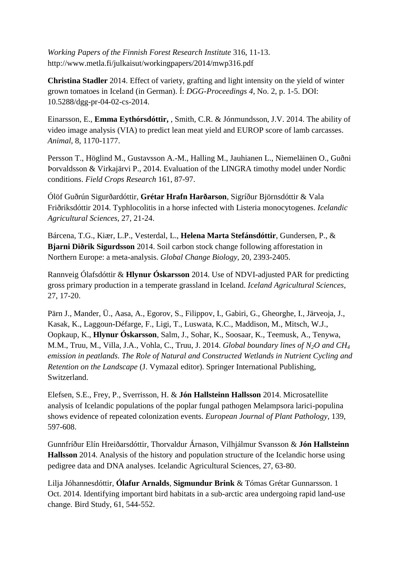*Working Papers of the Finnish Forest Research Institute* 316, 11-13. http://www.metla.fi/julkaisut/workingpapers/2014/mwp316.pdf

**Christina Stadler** 2014. Effect of variety, grafting and light intensity on the yield of winter grown tomatoes in Iceland (in German). Í: *DGG-Proceedings 4*, No. 2, p. 1-5. DOI: 10.5288/dgg-pr-04-02-cs-2014.

Einarsson, E., **Emma Eythórsdóttir,** , Smith, C.R. & Jónmundsson, J.V. 2014. The ability of video image analysis (VIA) to predict lean meat yield and EUROP score of lamb carcasses. *Animal*, 8, 1170-1177.

Persson T., Höglind M., Gustavsson A.-M., Halling M., Jauhianen L., Niemeläinen O., Guðni Þorvaldsson & Virkajärvi P., 2014. Evaluation of the LINGRA timothy model under Nordic conditions. *Field Crops Research* 161, 87-97.

Ólöf Guðrún Sigurðardóttir, **Grétar Hrafn Harðarson**, Sigríður Björnsdóttir & Vala Friðriksdóttir 2014. Typhlocolitis in a horse infected with Listeria monocytogenes. *Icelandic Agricultural Sciences*, 27, 21-24.

Bárcena, T.G., Kiær, L.P., Vesterdal, L., **Helena Marta Stefánsdóttir**, Gundersen, P., & **Bjarni Diðrik Sigurdsson** 2014. Soil carbon stock change following afforestation in Northern Europe: a meta-analysis. *Global Change Biology*, 20, 2393-2405.

Rannveig Ólafsdóttir & **Hlynur Óskarsson** 2014. Use of NDVI-adjusted PAR for predicting gross primary production in a temperate grassland in Iceland. *Iceland Agricultural Sciences*, 27, 17-20.

Pärn J., Mander, Ü., Aasa, A., Egorov, S., Filippov, I., Gabiri, G., Gheorghe, I., Järveoja, J., Kasak, K., Laggoun-Défarge, F., Ligi, T., Luswata, K.C., Maddison, M., Mitsch, W.J., Oopkaup, K., **Hlynur Óskarsson**, Salm, J., Sohar, K., Soosaar, K., Teemusk, A., Tenywa, M.M., Truu, M., Villa, J.A., Vohla, C., Truu, J. 2014. *Global boundary lines of N2O and CH<sup>4</sup> emission in peatlands. The Role of Natural and Constructed Wetlands in Nutrient Cycling and Retention on the Landscape* (J. Vymazal editor). Springer International Publishing, Switzerland.

Elefsen, S.E., Frey, P., Sverrisson, H. & **Jón Hallsteinn Hallsson** 2014. Microsatellite analysis of Icelandic populations of the poplar fungal pathogen Melampsora larici-populina shows evidence of repeated colonization events. *European Journal of Plant Pathology*, 139, 597-608.

Gunnfríður Elín Hreiðarsdóttir, Thorvaldur Árnason, Vilhjálmur Svansson & **Jón Hallsteinn Hallsson** 2014. Analysis of the history and population structure of the Icelandic horse using pedigree data and DNA analyses. Icelandic Agricultural Sciences, 27, 63-80.

Lilja Jóhannesdóttir, **Ólafur Arnalds**, **Sigmundur Brink** & Tómas Grétar Gunnarsson. 1 Oct. 2014. Identifying important bird habitats in a sub-arctic area undergoing rapid land-use change. Bird Study, 61, 544-552.